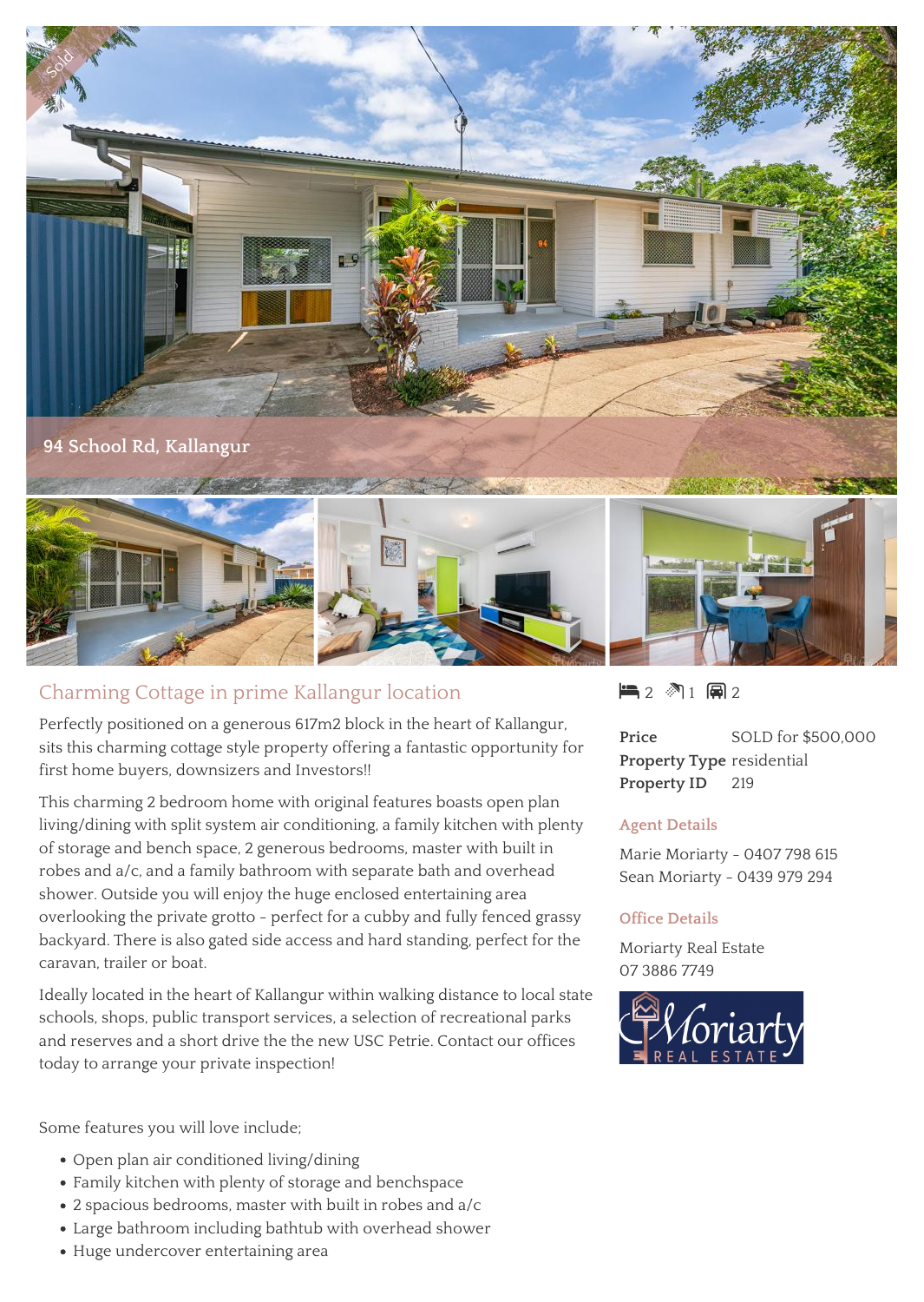

## Charming Cottage in prime Kallangur location

Perfectly positioned on a generous 617m2 block in the heart of Kallangur, sits this charming cottage style property offering a fantastic opportunity for first home buyers, downsizers and Investors!!

This charming 2 bedroom home with original features boasts open plan living/dining with split system air conditioning, a family kitchen with plenty of storage and bench space, 2 generous bedrooms, master with built in robes and a/c, and a family bathroom with separate bath and overhead shower. Outside you will enjoy the huge enclosed entertaining area overlooking the private grotto - perfect for a cubby and fully fenced grassy backyard. There is also gated side access and hard standing, perfect for the caravan, trailer or boat.

Ideally located in the heart of Kallangur within walking distance to local state schools, shops, public transport services, a selection of recreational parks and reserves and a short drive the the new USC Petrie. Contact our offices today to arrange your private inspection!

Some features you will love include;

- Open plan air conditioned living/dining
- Family kitchen with plenty of storage and benchspace
- 2 spacious bedrooms, master with built in robes and a/c
- Large bathroom including bathtub with overhead shower
- Huge undercover entertaining area

 $2 2 1 2 2$ 

**Price** SOLD for \$500,000 **Property Type** residential **Property ID** 219

## **Agent Details**

Marie Moriarty - 0407 798 615 Sean Moriarty - 0439 979 294

## **Office Details**

Moriarty Real Estate 07 3886 7749